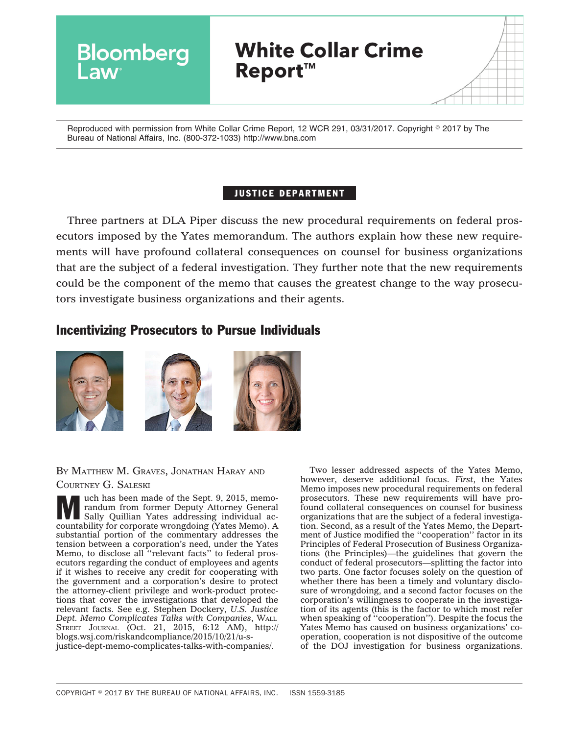

Reproduced with permission from White Collar Crime Report, 12 WCR 291, 03/31/2017. Copyright © 2017 by The Bureau of National Affairs, Inc. (800-372-1033) http://www.bna.com

## JUSTICE DEPARTMENT

Three partners at DLA Piper discuss the new procedural requirements on federal prosecutors imposed by the Yates memorandum. The authors explain how these new requirements will have profound collateral consequences on counsel for business organizations that are the subject of a federal investigation. They further note that the new requirements could be the component of the memo that causes the greatest change to the way prosecutors investigate business organizations and their agents.

## Incentivizing Prosecutors to Pursue Individuals



# BY MATTHEW M. GRAVES, JONATHAN HARAY AND

#### COURTNEY G. SALESKI

We uch has been made of the Sept. 9, 2015, memo-<br>randum from former Deputy Attorney General<br>Sally Quillian Yates addressing individual ac-<br>countebility for correcte wandcoing of theme randum from former Deputy Attorney General Sally Quillian Yates addressing individual accountability for corporate wrongdoing (Yates Memo). A substantial portion of the commentary addresses the tension between a corporation's need, under the Yates Memo, to disclose all "relevant facts" to federal prosecutors regarding the conduct of employees and agents if it wishes to receive any credit for cooperating with the government and a corporation's desire to protect the attorney-client privilege and work-product protections that cover the investigations that developed the relevant facts. See e.g. Stephen Dockery, *U.S. Justice Dept. Memo Complicates Talks with Companies*, WALL STREET JOURNAL (Oct. 21, 2015, 6:12 AM), [http://](http://blogs.wsj.com/riskandcompliance/2015/10/21/u-s-justice-dept-memo-complicates-talks-with-companies/) [blogs.wsj.com/riskandcompliance/2015/10/21/u-s](http://blogs.wsj.com/riskandcompliance/2015/10/21/u-s-justice-dept-memo-complicates-talks-with-companies/)[justice-dept-memo-complicates-talks-with-companies/.](http://blogs.wsj.com/riskandcompliance/2015/10/21/u-s-justice-dept-memo-complicates-talks-with-companies/)

Two lesser addressed aspects of the Yates Memo, however, deserve additional focus. *First*, the Yates Memo imposes new procedural requirements on federal prosecutors. These new requirements will have profound collateral consequences on counsel for business organizations that are the subject of a federal investigation. Second, as a result of the Yates Memo, the Department of Justice modified the ''cooperation'' factor in its Principles of Federal Prosecution of Business Organizations (the Principles)—the guidelines that govern the conduct of federal prosecutors—splitting the factor into two parts. One factor focuses solely on the question of whether there has been a timely and voluntary disclosure of wrongdoing, and a second factor focuses on the corporation's willingness to cooperate in the investigation of its agents (this is the factor to which most refer when speaking of ''cooperation''). Despite the focus the Yates Memo has caused on business organizations' cooperation, cooperation is not dispositive of the outcome of the DOJ investigation for business organizations.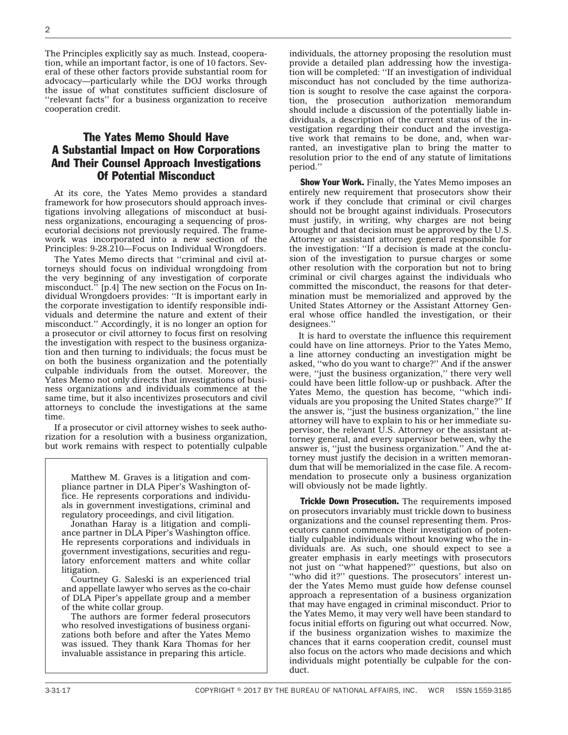The Principles explicitly say as much. Instead, cooperation, while an important factor, is one of 10 factors. Several of these other factors provide substantial room for advocacy—particularly while the DOJ works through the issue of what constitutes sufficient disclosure of ''relevant facts'' for a business organization to receive cooperation credit.

## The Yates Memo Should Have A Substantial Impact on How Corporations And Their Counsel Approach Investigations Of Potential Misconduct

At its core, the Yates Memo provides a standard framework for how prosecutors should approach investigations involving allegations of misconduct at business organizations, encouraging a sequencing of prosecutorial decisions not previously required. The framework was incorporated into a new section of the Principles: 9-28.210—Focus on Individual Wrongdoers.

The Yates Memo directs that ''criminal and civil attorneys should focus on individual wrongdoing from the very beginning of any investigation of corporate misconduct.'' [p.4] The new section on the Focus on Individual Wrongdoers provides: ''It is important early in the corporate investigation to identify responsible individuals and determine the nature and extent of their misconduct.'' Accordingly, it is no longer an option for a prosecutor or civil attorney to focus first on resolving the investigation with respect to the business organization and then turning to individuals; the focus must be on both the business organization and the potentially culpable individuals from the outset. Moreover, the Yates Memo not only directs that investigations of business organizations and individuals commence at the same time, but it also incentivizes prosecutors and civil attorneys to conclude the investigations at the same time.

If a prosecutor or civil attorney wishes to seek authorization for a resolution with a business organization, but work remains with respect to potentially culpable

Matthew M. Graves is a litigation and compliance partner in DLA Piper's Washington office. He represents corporations and individuals in government investigations, criminal and regulatory proceedings, and civil litigation.

Jonathan Haray is a litigation and compliance partner in DLA Piper's Washington office. He represents corporations and individuals in government investigations, securities and regulatory enforcement matters and white collar litigation.

Courtney G. Saleski is an experienced trial and appellate lawyer who serves as the co-chair of DLA Piper's appellate group and a member of the white collar group.

The authors are former federal prosecutors who resolved investigations of business organizations both before and after the Yates Memo was issued. They thank Kara Thomas for her invaluable assistance in preparing this article.

individuals, the attorney proposing the resolution must provide a detailed plan addressing how the investigation will be completed: ''If an investigation of individual misconduct has not concluded by the time authorization is sought to resolve the case against the corporation, the prosecution authorization memorandum should include a discussion of the potentially liable individuals, a description of the current status of the investigation regarding their conduct and the investigative work that remains to be done, and, when warranted, an investigative plan to bring the matter to resolution prior to the end of any statute of limitations period.''

**Show Your Work.** Finally, the Yates Memo imposes an entirely new requirement that prosecutors show their work if they conclude that criminal or civil charges should not be brought against individuals. Prosecutors must justify, in writing, why charges are not being brought and that decision must be approved by the U.S. Attorney or assistant attorney general responsible for the investigation: ''If a decision is made at the conclusion of the investigation to pursue charges or some other resolution with the corporation but not to bring criminal or civil charges against the individuals who committed the misconduct, the reasons for that determination must be memorialized and approved by the United States Attorney or the Assistant Attorney General whose office handled the investigation, or their designees.''

It is hard to overstate the influence this requirement could have on line attorneys. Prior to the Yates Memo, a line attorney conducting an investigation might be asked, ''who do you want to charge?'' And if the answer were, "just the business organization," there very well could have been little follow-up or pushback. After the Yates Memo, the question has become, ''which individuals are you proposing the United States charge?'' If the answer is, ''just the business organization,'' the line attorney will have to explain to his or her immediate supervisor, the relevant U.S. Attorney or the assistant attorney general, and every supervisor between, why the answer is, ''just the business organization.'' And the attorney must justify the decision in a written memorandum that will be memorialized in the case file. A recommendation to prosecute only a business organization will obviously not be made lightly.

**Trickle Down Prosecution.** The requirements imposed on prosecutors invariably must trickle down to business organizations and the counsel representing them. Prosecutors cannot commence their investigation of potentially culpable individuals without knowing who the individuals are. As such, one should expect to see a greater emphasis in early meetings with prosecutors not just on ''what happened?'' questions, but also on "who did it?" questions. The prosecutors' interest under the Yates Memo must guide how defense counsel approach a representation of a business organization that may have engaged in criminal misconduct. Prior to the Yates Memo, it may very well have been standard to focus initial efforts on figuring out what occurred. Now, if the business organization wishes to maximize the chances that it earns cooperation credit, counsel must also focus on the actors who made decisions and which individuals might potentially be culpable for the conduct.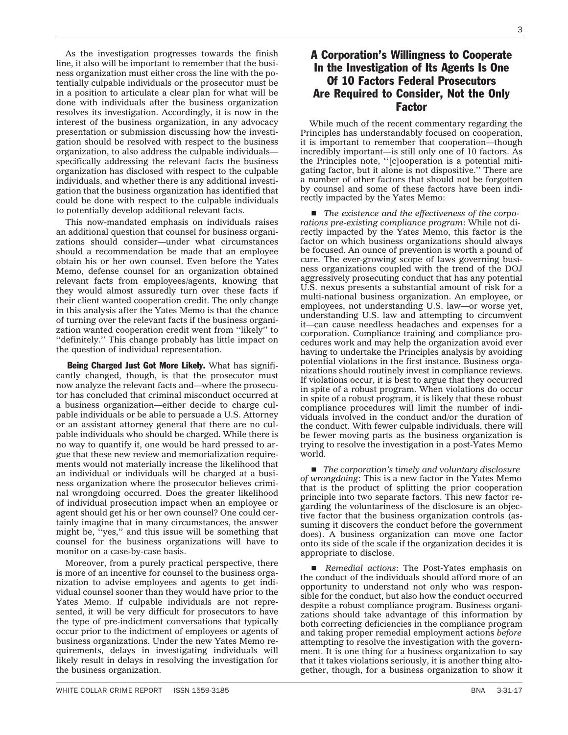3

As the investigation progresses towards the finish line, it also will be important to remember that the business organization must either cross the line with the potentially culpable individuals or the prosecutor must be in a position to articulate a clear plan for what will be done with individuals after the business organization resolves its investigation. Accordingly, it is now in the interest of the business organization, in any advocacy presentation or submission discussing how the investigation should be resolved with respect to the business organization, to also address the culpable individuals specifically addressing the relevant facts the business organization has disclosed with respect to the culpable individuals, and whether there is any additional investigation that the business organization has identified that could be done with respect to the culpable individuals to potentially develop additional relevant facts.

This now-mandated emphasis on individuals raises an additional question that counsel for business organizations should consider—under what circumstances should a recommendation be made that an employee obtain his or her own counsel. Even before the Yates Memo, defense counsel for an organization obtained relevant facts from employees/agents, knowing that they would almost assuredly turn over these facts if their client wanted cooperation credit. The only change in this analysis after the Yates Memo is that the chance of turning over the relevant facts if the business organization wanted cooperation credit went from ''likely'' to ''definitely.'' This change probably has little impact on the question of individual representation.

Being Charged Just Got More Likely. What has significantly changed, though, is that the prosecutor must now analyze the relevant facts and—where the prosecutor has concluded that criminal misconduct occurred at a business organization—either decide to charge culpable individuals or be able to persuade a U.S. Attorney or an assistant attorney general that there are no culpable individuals who should be charged. While there is no way to quantify it, one would be hard pressed to argue that these new review and memorialization requirements would not materially increase the likelihood that an individual or individuals will be charged at a business organization where the prosecutor believes criminal wrongdoing occurred. Does the greater likelihood of individual prosecution impact when an employee or agent should get his or her own counsel? One could certainly imagine that in many circumstances, the answer might be, ''yes,'' and this issue will be something that counsel for the business organizations will have to monitor on a case-by-case basis.

Moreover, from a purely practical perspective, there is more of an incentive for counsel to the business organization to advise employees and agents to get individual counsel sooner than they would have prior to the Yates Memo. If culpable individuals are not represented, it will be very difficult for prosecutors to have the type of pre-indictment conversations that typically occur prior to the indictment of employees or agents of business organizations. Under the new Yates Memo requirements, delays in investigating individuals will likely result in delays in resolving the investigation for

## A Corporation's Willingness to Cooperate In the Investigation of Its Agents Is One Of 10 Factors Federal Prosecutors Are Required to Consider, Not the Only Factor

While much of the recent commentary regarding the Principles has understandably focused on cooperation, it is important to remember that cooperation—though incredibly important—is still only one of 10 factors. As the Principles note, ''[c]ooperation is a potential mitigating factor, but it alone is not dispositive.'' There are a number of other factors that should not be forgotten by counsel and some of these factors have been indirectly impacted by the Yates Memo:

■ The existence and the effectiveness of the corpo*rations pre-existing compliance program*: While not directly impacted by the Yates Memo, this factor is the factor on which business organizations should always be focused. An ounce of prevention is worth a pound of cure. The ever-growing scope of laws governing business organizations coupled with the trend of the DOJ aggressively prosecuting conduct that has any potential U.S. nexus presents a substantial amount of risk for a multi-national business organization. An employee, or employees, not understanding U.S. law—or worse yet, understanding U.S. law and attempting to circumvent it—can cause needless headaches and expenses for a corporation. Compliance training and compliance procedures work and may help the organization avoid ever having to undertake the Principles analysis by avoiding potential violations in the first instance. Business organizations should routinely invest in compliance reviews. If violations occur, it is best to argue that they occurred in spite of a robust program. When violations do occur in spite of a robust program, it is likely that these robust compliance procedures will limit the number of individuals involved in the conduct and/or the duration of the conduct. With fewer culpable individuals, there will be fewer moving parts as the business organization is trying to resolve the investigation in a post-Yates Memo world.

■ *The corporation's timely and voluntary disclosure of wrongdoing*: This is a new factor in the Yates Memo that is the product of splitting the prior cooperation principle into two separate factors. This new factor regarding the voluntariness of the disclosure is an objective factor that the business organization controls (assuming it discovers the conduct before the government does). A business organization can move one factor onto its side of the scale if the organization decides it is appropriate to disclose.

**Remedial actions: The Post-Yates emphasis on** the conduct of the individuals should afford more of an opportunity to understand not only who was responsible for the conduct, but also how the conduct occurred despite a robust compliance program. Business organizations should take advantage of this information by both correcting deficiencies in the compliance program and taking proper remedial employment actions *before* attempting to resolve the investigation with the government. It is one thing for a business organization to say that it takes violations seriously, it is another thing altogether, though, for a business organization to show it